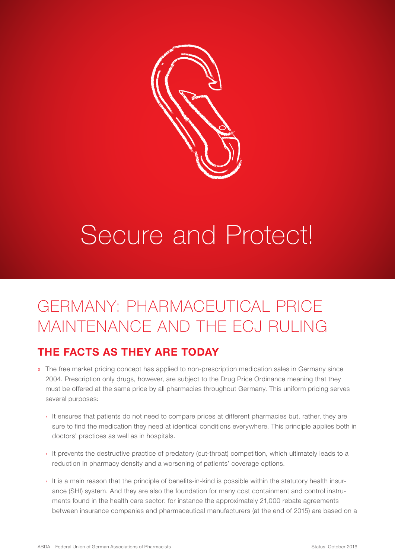

## Secure and Protect!

## GERMANY: PHARMACEUTICAL PRICE MAINTENANCE AND THE ECJ RULING

## THE FACTS AS THEY ARE TODAY

- » The free market pricing concept has applied to non-prescription medication sales in Germany since 2004. Prescription only drugs, however, are subject to the Drug Price Ordinance meaning that they must be offered at the same price by all pharmacies throughout Germany. This uniform pricing serves several purposes:
	- › It ensures that patients do not need to compare prices at different pharmacies but, rather, they are sure to find the medication they need at identical conditions everywhere. This principle applies both in doctors' practices as well as in hospitals.
	- › It prevents the destructive practice of predatory (cut-throat) competition, which ultimately leads to a reduction in pharmacy density and a worsening of patients' coverage options.
	- › It is a main reason that the principle of benefits-in-kind is possible within the statutory health insurance (SHI) system. And they are also the foundation for many cost containment and control instruments found in the health care sector: for instance the approximately 21,000 rebate agreements between insurance companies and pharmaceutical manufacturers (at the end of 2015) are based on a